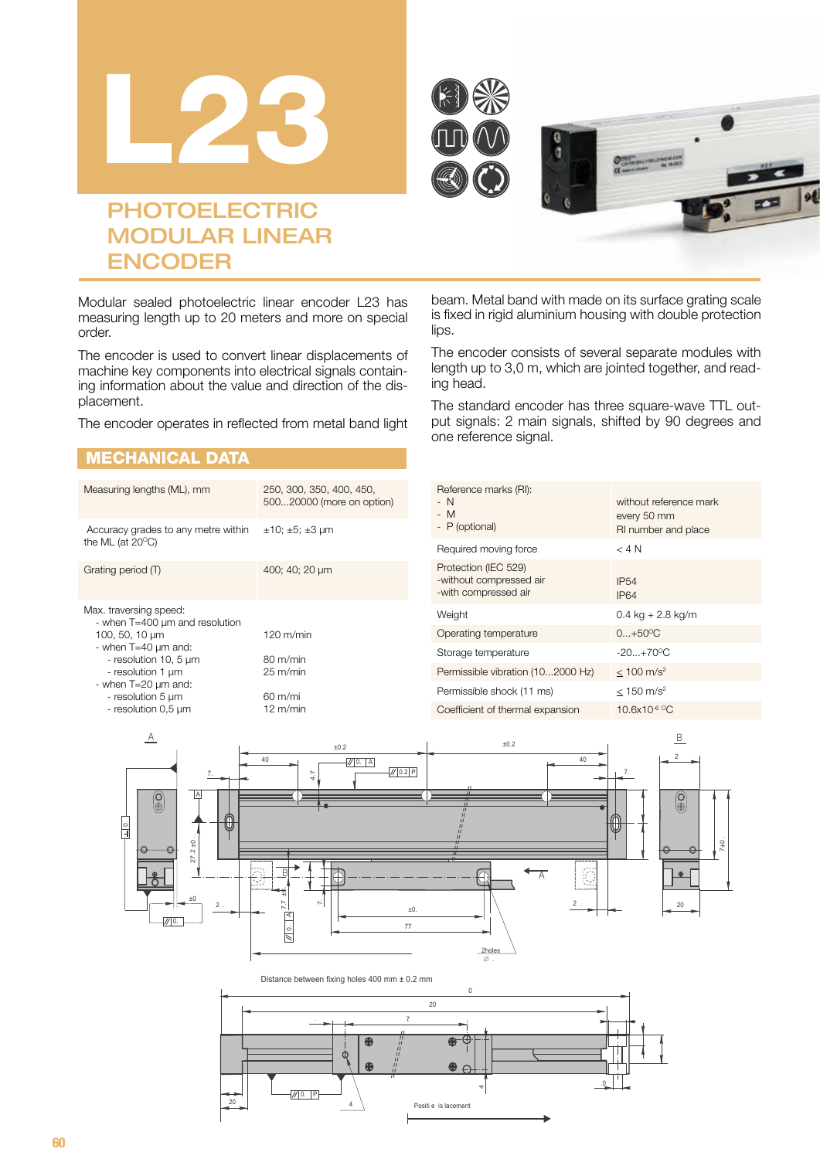





# **PHOTOELECTRIC** MODULAR LINEAR ENCODER

Modular sealed photoelectric linear encoder L23 has measuring length up to 20 meters and more on special order.

The encoder is used to convert linear displacements of machine key components into electrical signals containing information about the value and direction of the displacement.

The encoder operates in reflected from metal band light

#### MECHANICAL DATA

| Measuring lengths (ML), mm                                                                                                                                                                                                   | 250, 300, 350, 400, 450,<br>50020000 (more on option)                                                       |
|------------------------------------------------------------------------------------------------------------------------------------------------------------------------------------------------------------------------------|-------------------------------------------------------------------------------------------------------------|
| Accuracy grades to any metre within<br>the ML (at $20^{\circ}$ C)                                                                                                                                                            | $\pm 10$ ; $\pm 5$ ; $\pm 3$ µm                                                                             |
| Grating period (T)                                                                                                                                                                                                           | 400; 40; 20 µm                                                                                              |
| Max. traversing speed:<br>- when T=400 µm and resolution<br>100, 50, 10 µm<br>- when $T=40 \mu m$ and:<br>- resolution 10, 5 µm<br>- resolution 1 um<br>- when $T=20 \mu m$ and:<br>- resolution 5 um<br>- resolution 0,5 µm | $120 \text{ m/min}$<br>$80 \text{ m/min}$<br>$25 \text{ m/min}$<br>$60 \text{ m/min}$<br>$12 \text{ m/min}$ |

beam. Metal band with made on its surface grating scale is fixed in rigid aluminium housing with double protection lips.

The encoder consists of several separate modules with length up to 3,0 m, which are jointed together, and reading head.

The standard encoder has three square-wave TTL output signals: 2 main signals, shifted by 90 degrees and one reference signal.

| Reference marks (RI):<br>- N<br>- M<br>- P (optional)                   | without reference mark<br>every 50 mm<br>RI number and place |
|-------------------------------------------------------------------------|--------------------------------------------------------------|
| Required moving force                                                   | $<$ 4 N                                                      |
| Protection (IEC 529)<br>-without compressed air<br>-with compressed air | <b>IP54</b><br><b>IP64</b>                                   |
| Weight                                                                  | $0.4 \text{ kg} + 2.8 \text{ kg/m}$                          |
| Operating temperature                                                   | $0+50^{\circ}C$                                              |
| Storage temperature                                                     | $-20. +70^{\circ}$ C                                         |
| Permissible vibration (102000 Hz)                                       | $< 100$ m/s <sup>2</sup>                                     |
| Permissible shock (11 ms)                                               | $< 150 \text{ m/s}^2$                                        |
| Coefficient of thermal expansion                                        | 10.6x10 <sup>-6 o</sup> C                                    |



Distance between fixing holes 400 mm ± 0.2 mm